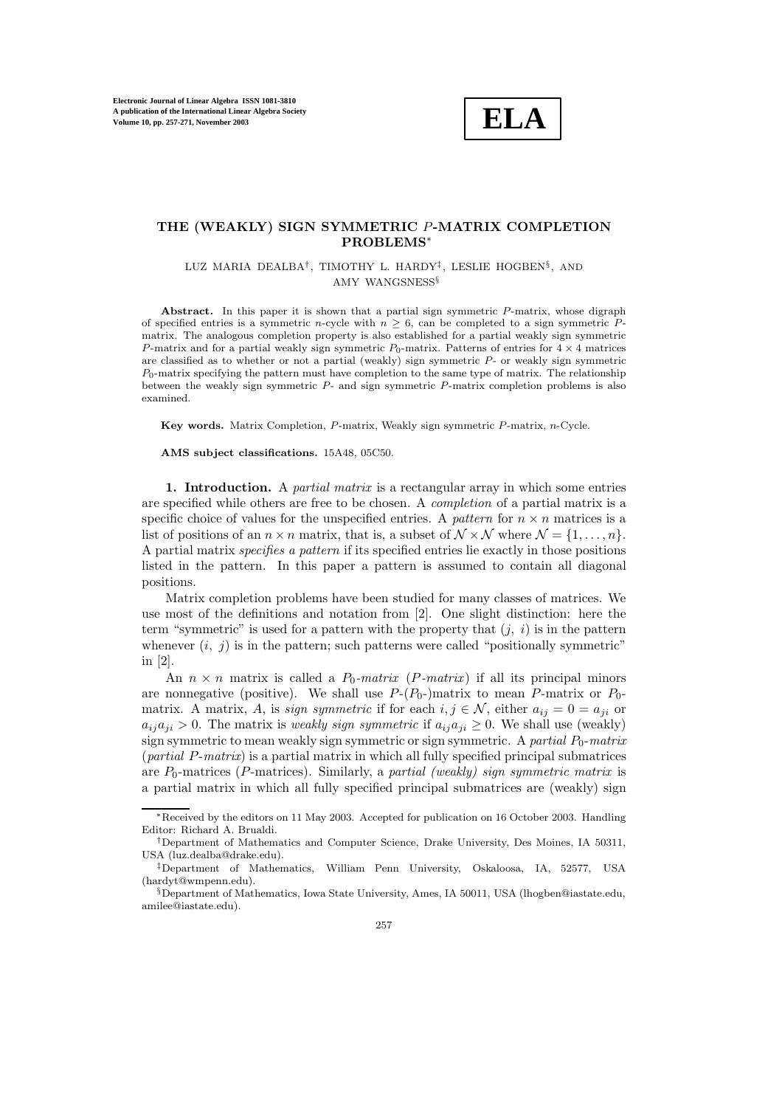

## **THE (WEAKLY) SIGN SYMMETRIC** P**-MATRIX COMPLETION PROBLEMS**∗

LUZ MARIA DEALBA†, TIMOTHY L. HARDY‡, LESLIE HOGBEN§, AND AMY WANGSNESS§

Abstract. In this paper it is shown that a partial sign symmetric  $P$ -matrix, whose digraph of specified entries is a symmetric n-cycle with  $n \geq 6$ , can be completed to a sign symmetric Pmatrix. The analogous completion property is also established for a partial weakly sign symmetric P-matrix and for a partial weakly sign symmetric  $P_0$ -matrix. Patterns of entries for  $4 \times 4$  matrices are classified as to whether or not a partial (weakly) sign symmetric P- or weakly sign symmetric  $P_0$ -matrix specifying the pattern must have completion to the same type of matrix. The relationship between the weakly sign symmetric P- and sign symmetric P-matrix completion problems is also examined.

**Key words.** Matrix Completion, P-matrix, Weakly sign symmetric P-matrix, n-Cycle.

**AMS subject classifications.** 15A48, 05C50.

**1. Introduction.** A *partial matrix* is a rectangular array in which some entries are specified while others are free to be chosen. A *completion* of a partial matrix is a specific choice of values for the unspecified entries. A *pattern* for  $n \times n$  matrices is a list of positions of an  $n \times n$  matrix, that is, a subset of  $\mathcal{N} \times \mathcal{N}$  where  $\mathcal{N} = \{1, \ldots, n\}$ . A partial matrix *specifies a pattern* if its specified entries lie exactly in those positions listed in the pattern. In this paper a pattern is assumed to contain all diagonal positions.

Matrix completion problems have been studied for many classes of matrices. We use most of the definitions and notation from [2]. One slight distinction: here the term "symmetric" is used for a pattern with the property that  $(j, i)$  is in the pattern whenever  $(i, j)$  is in the pattern; such patterns were called "positionally symmetric" in [2].

An  $n \times n$  matrix is called a  $P_0$ -matrix (P-matrix) if all its principal minors are nonnegative (positive). We shall use  $P-(P_0-)$  matrix to mean P-matrix or  $P_0$ matrix. A matrix, A, is *sign symmetric* if for each  $i, j \in \mathcal{N}$ , either  $a_{ij} = 0 = a_{ji}$  or  $a_{ij}a_{ji} > 0$ . The matrix is *weakly sign symmetric* if  $a_{ij}a_{ji} \geq 0$ . We shall use (weakly) sign symmetric to mean weakly sign symmetric or sign symmetric. A *partial*  $P_0$ -*matrix* (*partial* P-*matrix*) is a partial matrix in which all fully specified principal submatrices are  $P_0$ -matrices (P-matrices). Similarly, a *partial (weakly) sign symmetric matrix* is a partial matrix in which all fully specified principal submatrices are (weakly) sign

<sup>∗</sup>Received by the editors on 11 May 2003. Accepted for publication on 16 October 2003. Handling Editor: Richard A. Brualdi.

<sup>†</sup>Department of Mathematics and Computer Science, Drake University, Des Moines, IA 50311, USA (luz.dealba@drake.edu).

<sup>‡</sup>Department of Mathematics, William Penn University, Oskaloosa, IA, 52577, USA (hardyt@wmpenn.edu).

 $\S$ Department of Mathematics, Iowa State University, Ames, IA 50011, USA (lhogben@iastate.edu, amilee@iastate.edu).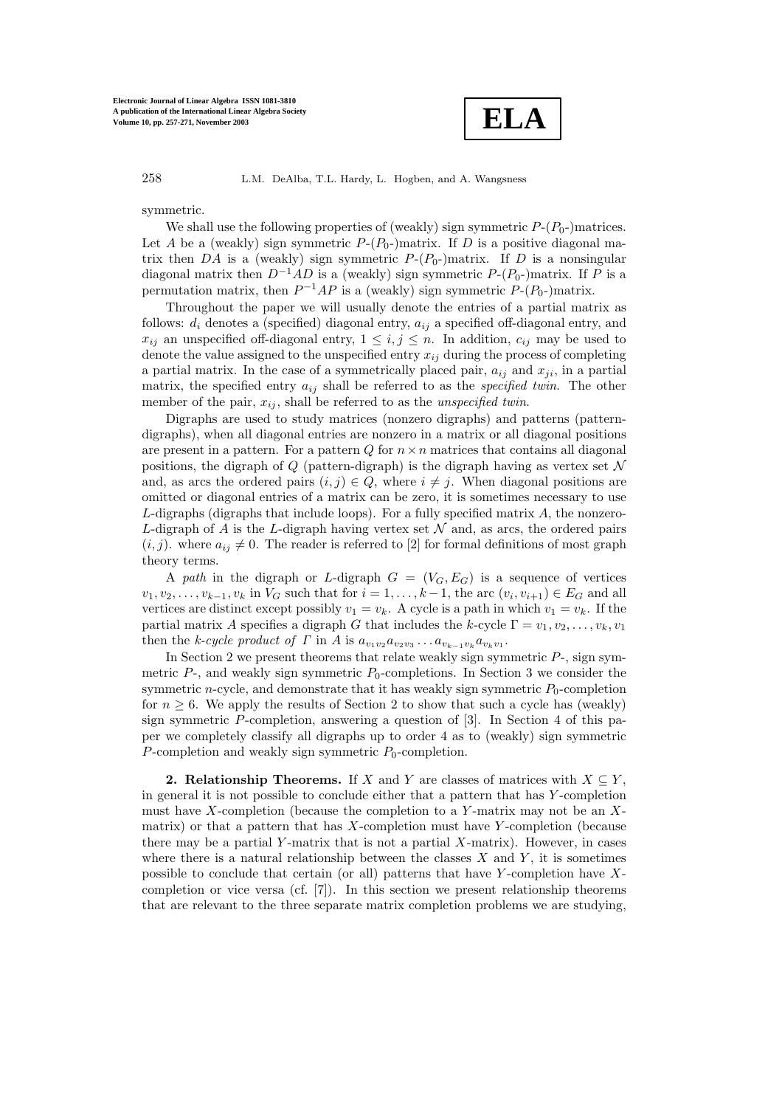

symmetric.

We shall use the following properties of (weakly) sign symmetric  $P-(P_0-)$  matrices. Let A be a (weakly) sign symmetric  $P-(P_0)$  matrix. If D is a positive diagonal matrix then DA is a (weakly) sign symmetric  $P-(P_0-)$  matrix. If D is a nonsingular diagonal matrix then  $D^{-1}AD$  is a (weakly) sign symmetric  $P-(P_0-)$ matrix. If P is a permutation matrix, then  $P^{-1}AP$  is a (weakly) sign symmetric  $P-(P_0-)$ matrix.

Throughout the paper we will usually denote the entries of a partial matrix as follows:  $d_i$  denotes a (specified) diagonal entry,  $a_{ij}$  a specified off-diagonal entry, and  $x_{ij}$  an unspecified off-diagonal entry,  $1 \leq i, j \leq n$ . In addition,  $c_{ij}$  may be used to denote the value assigned to the unspecified entry  $x_{ij}$  during the process of completing a partial matrix. In the case of a symmetrically placed pair,  $a_{ij}$  and  $x_{ji}$ , in a partial matrix, the specified entry  $a_{ij}$  shall be referred to as the *specified twin*. The other member of the pair,  $x_{ij}$ , shall be referred to as the *unspecified twin*.

Digraphs are used to study matrices (nonzero digraphs) and patterns (patterndigraphs), when all diagonal entries are nonzero in a matrix or all diagonal positions are present in a pattern. For a pattern  $Q$  for  $n \times n$  matrices that contains all diagonal positions, the digraph of  $Q$  (pattern-digraph) is the digraph having as vertex set  $\mathcal N$ and, as arcs the ordered pairs  $(i, j) \in Q$ , where  $i \neq j$ . When diagonal positions are omitted or diagonal entries of a matrix can be zero, it is sometimes necessary to use  $L$ -digraphs (digraphs that include loops). For a fully specified matrix  $A$ , the nonzero-L-digraph of A is the L-digraph having vertex set  $\mathcal N$  and, as arcs, the ordered pairs  $(i, j)$ . where  $a_{ij} \neq 0$ . The reader is referred to [2] for formal definitions of most graph theory terms.

A *path* in the digraph or L-digraph  $G = (V_G, E_G)$  is a sequence of vertices  $v_1, v_2, \ldots, v_{k-1}, v_k$  in  $V_G$  such that for  $i = 1, \ldots, k-1$ , the arc  $(v_i, v_{i+1}) \in E_G$  and all vertices are distinct except possibly  $v_1 = v_k$ . A cycle is a path in which  $v_1 = v_k$ . If the partial matrix A specifies a digraph G that includes the k-cycle  $\Gamma = v_1, v_2, \ldots, v_k, v_1$ then the *k-cycle product of*  $\Gamma$  in  $A$  is  $a_{v_1v_2}a_{v_2v_3}\dots a_{v_{k-1}v_k}a_{v_kv_1}$ .

In Section 2 we present theorems that relate weakly sign symmetric  $P$ -, sign symmetric  $P<sub>z</sub>$ , and weakly sign symmetric  $P<sub>0</sub>$ -completions. In Section 3 we consider the symmetric *n*-cycle, and demonstrate that it has weakly sign symmetric  $P_0$ -completion for  $n \geq 6$ . We apply the results of Section 2 to show that such a cycle has (weakly) sign symmetric  $P$ -completion, answering a question of [3]. In Section 4 of this paper we completely classify all digraphs up to order 4 as to (weakly) sign symmetric P-completion and weakly sign symmetric  $P_0$ -completion.

**2. Relationship Theorems.** If X and Y are classes of matrices with  $X \subseteq Y$ , in general it is not possible to conclude either that a pattern that has Y -completion must have X-completion (because the completion to a Y-matrix may not be an  $X$ matrix) or that a pattern that has  $X$ -completion must have  $Y$ -completion (because there may be a partial Y-matrix that is not a partial  $X$ -matrix). However, in cases where there is a natural relationship between the classes  $X$  and  $Y$ , it is sometimes possible to conclude that certain (or all) patterns that have Y-completion have  $X$ completion or vice versa (cf. [7]). In this section we present relationship theorems that are relevant to the three separate matrix completion problems we are studying,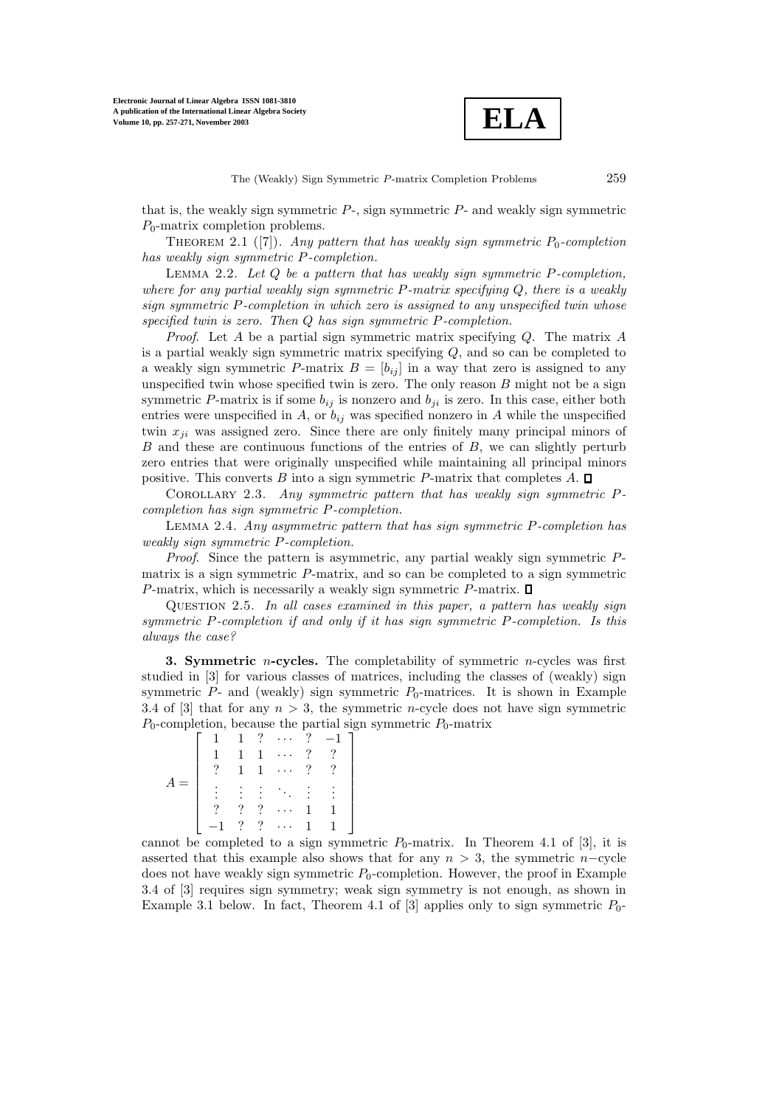

that is, the weakly sign symmetric  $P<sub>z</sub>$ , sign symmetric  $P<sub>z</sub>$  and weakly sign symmetric  $P_0$ -matrix completion problems.

THEOREM 2.1 ([7]). *Any pattern that has weakly sign symmetric*  $P_0$ -completion *has weakly sign symmetric* P*-completion.*

Lemma 2.2. *Let* <sup>Q</sup> *be a pattern that has weakly sign symmetric* <sup>P</sup>*-completion, where for any partial weakly sign symmetric* P*-matrix specifying* Q*, there is a weakly sign symmetric* P*-completion in which zero is assigned to any unspecified twin whose specified twin is zero. Then* Q *has sign symmetric* P*-completion.*

*Proof*. Let A be a partial sign symmetric matrix specifying Q. The matrix A is a partial weakly sign symmetric matrix specifying  $Q$ , and so can be completed to a weakly sign symmetric P-matrix  $B = [b_{ij}]$  in a way that zero is assigned to any unspecified twin whose specified twin is zero. The only reason  $B$  might not be a sign symmetric P-matrix is if some  $b_{ij}$  is nonzero and  $b_{ji}$  is zero. In this case, either both entries were unspecified in A, or  $b_{ij}$  was specified nonzero in A while the unspecified twin  $x_{ji}$  was assigned zero. Since there are only finitely many principal minors of  $B$  and these are continuous functions of the entries of  $B$ , we can slightly perturb zero entries that were originally unspecified while maintaining all principal minors positive. This converts B into a sign symmetric P-matrix that completes  $A$ .  $\square$ 

Corollary 2.3. *Any symmetric pattern that has weakly sign symmetric* <sup>P</sup>*completion has sign symmetric* P*-completion.*

Lemma 2.4. *Any asymmetric pattern that has sign symmetric* <sup>P</sup>*-completion has weakly sign symmetric* P*-completion.*

*Proof*. Since the pattern is asymmetric, any partial weakly sign symmetric Pmatrix is a sign symmetric P-matrix, and so can be completed to a sign symmetric P-matrix, which is necessarily a weakly sign symmetric P-matrix.  $\square$ 

Question 2.5. *In all cases examined in this paper, a pattern has weakly sign symmetric* P*-completion if and only if it has sign symmetric* P*-completion. Is this always the case?*

**3. Symmetric** *n*-cycles. The completability of symmetric *n*-cycles was first studied in [3] for various classes of matrices, including the classes of (weakly) sign symmetric  $P$ - and (weakly) sign symmetric  $P_0$ -matrices. It is shown in Example 3.4 of [3] that for any  $n > 3$ , the symmetric *n*-cycle does not have sign symmetric  $P_0$ -completion, because the partial sign symmetric  $P_0$ -matrix

|  | $\mathbf{1}$ | $\mathcal{P}$ | $\ldots$ . |               | $? -1$ ]        |
|--|--------------|---------------|------------|---------------|-----------------|
|  |              | $\mathbf{1}$  | .          | ?             | $\mathcal{P}$   |
|  |              | $\mathbf{1}$  | $\ldots$   | $\mathcal{P}$ | $\mathcal{P}^-$ |
|  |              |               |            |               | (3.5, 4.4)      |
|  |              |               |            |               |                 |
|  |              |               | . .        |               |                 |
|  |              |               | .          |               |                 |

cannot be completed to a sign symmetric  $P_0$ -matrix. In Theorem 4.1 of [3], it is asserted that this example also shows that for any  $n > 3$ , the symmetric n–cycle does not have weakly sign symmetric  $P_0$ -completion. However, the proof in Example 3.4 of [3] requires sign symmetry; weak sign symmetry is not enough, as shown in Example 3.1 below. In fact, Theorem 4.1 of [3] applies only to sign symmetric  $P_0$ -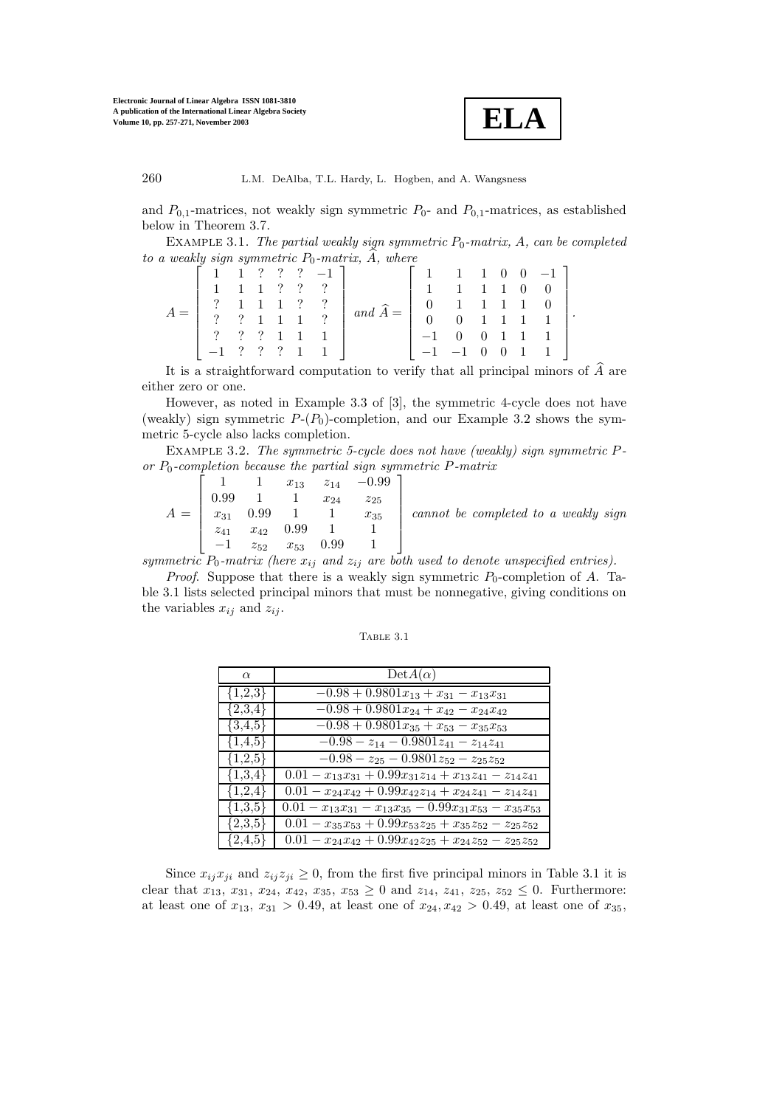

and  $P_{0,1}$ -matrices, not weakly sign symmetric  $P_{0}$ - and  $P_{0,1}$ -matrices, as established below in Theorem 3.7.

EXAMPLE 3.1. *The partial weakly sign symmetric*  $P_0$ -matrix,  $A$ , can be completed  $to a weakly sign symmetric P<sub>0</sub>-matrix, A, where$ 

|  |  |  | $\begin{bmatrix} 1 & 1 & ? & ? & ? & -1 \end{bmatrix}$                                    |                            | $1 \t1 \t1 \t0 \t0 \t-1$                                                             |  |  |  |
|--|--|--|-------------------------------------------------------------------------------------------|----------------------------|--------------------------------------------------------------------------------------|--|--|--|
|  |  |  | $1 \t1 \t1 \t? ? ?$                                                                       |                            | 1 1 1 1 0 0                                                                          |  |  |  |
|  |  |  | $\begin{array}{ccccccccc}\n? & 1 & 1 & 1 & ? & ? \\ ? & ? & 1 & 1 & 1 & ? \\ \end{array}$ | $\int$ and $\widehat{A} =$ | $\begin{array}{cccccccc} 0 & 1 & 1 & 1 & 1 & 0 \\ 0 & 0 & 1 & 1 & 1 & 1 \end{array}$ |  |  |  |
|  |  |  |                                                                                           |                            |                                                                                      |  |  |  |
|  |  |  | $\begin{array}{ccccccccccccccccc}\n? & ? & ? & 1 & 1 & 1\n\end{array}$                    |                            | $-1$ 0 0 1 1 1                                                                       |  |  |  |
|  |  |  | $-1$ ? ? ? 1 1                                                                            |                            | $-1$ $-1$ 0 0 1 1                                                                    |  |  |  |
|  |  |  |                                                                                           |                            |                                                                                      |  |  |  |

It is a straightforward computation to verify that all principal minors of  $\widehat{A}$  are either zero or one.

However, as noted in Example 3.3 of [3], the symmetric 4-cycle does not have (weakly) sign symmetric  $P-(P_0)$ -completion, and our Example 3.2 shows the symmetric 5-cycle also lacks completion.

Example 3.2. *The symmetric 5-cycle does not have (weakly) sign symmetric* <sup>P</sup>or  $P_0$ -completion because the partial sign symmetric P-matrix<br>  $\begin{bmatrix} 1 & 1 & x_{13} & z_{14} & -0.99 \end{bmatrix}$ 

$$
A = \begin{bmatrix} 1 & 1 & x_{13} & z_{14} & -0.99 \\ 0.99 & 1 & 1 & x_{24} & z_{25} \\ x_{31} & 0.99 & 1 & 1 & x_{35} \\ z_{41} & x_{42} & 0.99 & 1 & 1 \\ -1 & z_{52} & x_{53} & 0.99 & 1 \end{bmatrix}
$$
 cannot be completed to a weakly sign

*symmetric*  $P_0$ -matrix (here  $x_{ij}$  and  $z_{ij}$  are both used to denote unspecified entries).

*Proof.* Suppose that there is a weakly sign symmetric  $P_0$ -completion of A. Table 3.1 lists selected principal minors that must be nonnegative, giving conditions on the variables  $x_{ij}$  and  $z_{ij}$ .

Table 3.1

| $\alpha$    | $DetA(\alpha)$                                                         |
|-------------|------------------------------------------------------------------------|
| $\{1,2,3\}$ | $-0.98 + 0.9801x_{13} + x_{31} - x_{13}x_{31}$                         |
| ${2,3,4}$   | $\overline{-0.98} + 0.9801x_{24} + x_{42} - x_{24}x_{42}$              |
| $\{3,4,5\}$ | $-0.98 + 0.9801x_{35} + x_{53} - x_{35}x_{53}$                         |
| ${1,4,5}$   | $-0.98 - z_{14} - 0.9801z_{41} - z_{14}z_{41}$                         |
| ${1,2,5}$   | $-0.98 - z_{25} - 0.9801z_{52} - z_{25}z_{52}$                         |
| ${1,3,4}$   | $0.01 - x_{13}x_{31} + 0.99x_{31}z_{14} + x_{13}z_{41} - z_{14}z_{41}$ |
| ${1,2,4}$   | $0.01 - x_{24}x_{42} + 0.99x_{42}z_{14} + x_{24}z_{41} - z_{14}z_{41}$ |
| ${1,3,5}$   | $0.01 - x_{13}x_{31} - x_{13}x_{35} - 0.99x_{31}x_{53} - x_{35}x_{53}$ |
| ${2,3,5}$   | $0.01 - x_{35}x_{53} + 0.99x_{53}z_{25} + x_{35}z_{52} - z_{25}z_{52}$ |
| $\{2,4,5\}$ | $0.01 - x_{24}x_{42} + 0.99x_{42}z_{25} + x_{24}z_{52} - z_{25}z_{52}$ |

Since  $x_{ij}x_{ji}$  and  $z_{ij}z_{ji} \geq 0$ , from the first five principal minors in Table 3.1 it is clear that  $x_{13}$ ,  $x_{31}$ ,  $x_{24}$ ,  $x_{42}$ ,  $x_{35}$ ,  $x_{53} \ge 0$  and  $z_{14}$ ,  $z_{41}$ ,  $z_{25}$ ,  $z_{52} \le 0$ . Furthermore: at least one of  $x_{13}$ ,  $x_{31} > 0.49$ , at least one of  $x_{24}, x_{42} > 0.49$ , at least one of  $x_{35}$ ,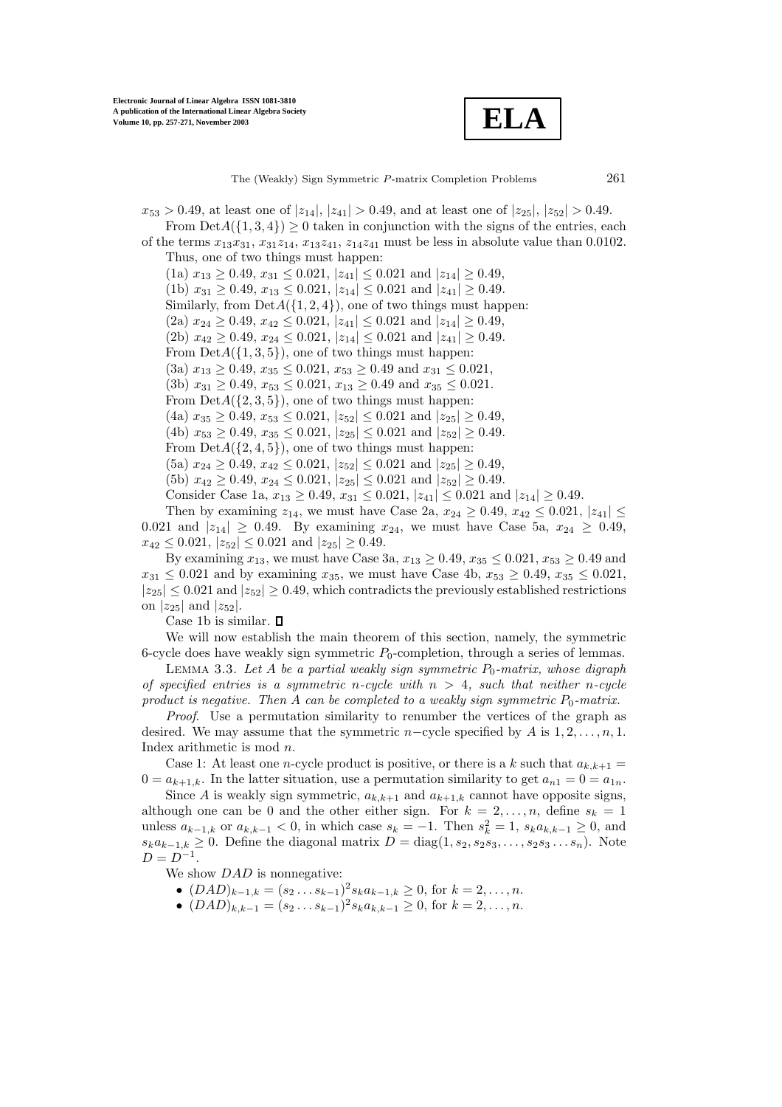**ELA**

 $x_{53} > 0.49$ , at least one of  $|z_{14}|, |z_{41}| > 0.49$ , and at least one of  $|z_{25}|, |z_{52}| > 0.49$ . From  $Det A({1, 3, 4}) \geq 0$  taken in conjunction with the signs of the entries, each of the terms  $x_{13}x_{31}, x_{31}z_{14}, x_{13}z_{41}, z_{14}z_{41}$  must be less in absolute value than 0.0102. Thus, one of two things must happen:  $(1a)$   $x_{13} \ge 0.49$ ,  $x_{31} \le 0.021$ ,  $|z_{41}| \le 0.021$  and  $|z_{14}| \ge 0.49$ , (1b)  $x_{31} \ge 0.49, x_{13} \le 0.021, |z_{14}| \le 0.021$  and  $|z_{41}| \ge 0.49$ . Similarly, from  $DetA({1, 2, 4})$ , one of two things must happen: (2a)  $x_{24} \ge 0.49, x_{42} \le 0.021, |z_{41}| \le 0.021$  and  $|z_{14}| \ge 0.49$ , (2b)  $x_{42} \ge 0.49$ ,  $x_{24} \le 0.021$ ,  $|z_{14}| \le 0.021$  and  $|z_{41}| \ge 0.49$ . From  $Det A({1, 3, 5})$ , one of two things must happen: (3a)  $x_{13} \ge 0.49$ ,  $x_{35} \le 0.021$ ,  $x_{53} \ge 0.49$  and  $x_{31} \le 0.021$ , (3b)  $x_{31} \ge 0.49$ ,  $x_{53} \le 0.021$ ,  $x_{13} \ge 0.49$  and  $x_{35} \le 0.021$ .

From  $Det A({2, 3, 5})$ , one of two things must happen:

(4a)  $x_{35} > 0.49$ ,  $x_{53} < 0.021$ ,  $|z_{52}| < 0.021$  and  $|z_{25}| > 0.49$ ,

(4b)  $x_{53} \ge 0.49$ ,  $x_{35} \le 0.021$ ,  $|z_{25}| \le 0.021$  and  $|z_{52}| \ge 0.49$ .

From  $Det A({2, 4, 5})$ , one of two things must happen:

 $(5a)$   $x_{24} \ge 0.49$ ,  $x_{42} \le 0.021$ ,  $|z_{52}| \le 0.021$  and  $|z_{25}| \ge 0.49$ ,

(5b)  $x_{42} \ge 0.49$ ,  $x_{24} \le 0.021$ ,  $|z_{25}| \le 0.021$  and  $|z_{52}| \ge 0.49$ .

Consider Case 1a,  $x_{13} \ge 0.49$ ,  $x_{31} \le 0.021$ ,  $|z_{41}| \le 0.021$  and  $|z_{14}| \ge 0.49$ .

Then by examining  $z_{14}$ , we must have Case 2a,  $x_{24} \ge 0.49$ ,  $x_{42} \le 0.021$ ,  $|z_{41}| \le$ 0.021 and  $|z_{14}| \ge 0.49$ . By examining  $x_{24}$ , we must have Case 5a,  $x_{24} \ge 0.49$ ,  $x_{42} \le 0.021, |z_{52}| \le 0.021$  and  $|z_{25}| \ge 0.49$ .

By examining  $x_{13}$ , we must have Case 3a,  $x_{13} \ge 0.49$ ,  $x_{35} \le 0.021$ ,  $x_{53} \ge 0.49$  and  $x_{31} \leq 0.021$  and by examining  $x_{35}$ , we must have Case 4b,  $x_{53} \geq 0.49$ ,  $x_{35} \leq 0.021$ ,  $|z_{25}| \leq 0.021$  and  $|z_{52}| \geq 0.49$ , which contradicts the previously established restrictions on  $|z_{25}|$  and  $|z_{52}|$ .

Case 1b is similar.  $\square$ 

We will now establish the main theorem of this section, namely, the symmetric 6-cycle does have weakly sign symmetric  $P_0$ -completion, through a series of lemmas.

LEMMA 3.3. Let A be a partial weakly sign symmetric  $P_0$ -matrix, whose digraph *of specified entries is a symmetric* n*-cycle with* n > 4*, such that neither* n*-cycle product is negative. Then* A *can be completed to a weakly sign symmetric*  $P_0$ *-matrix.* 

*Proof*. Use a permutation similarity to renumber the vertices of the graph as desired. We may assume that the symmetric  $n$ -cycle specified by A is 1, 2, ..., n, 1. Index arithmetic is mod n.

Case 1: At least one *n*-cycle product is positive, or there is a k such that  $a_{k,k+1} =$  $0 = a_{k+1,k}$ . In the latter situation, use a permutation similarity to get  $a_{n1} = 0 = a_{1n}$ .

Since A is weakly sign symmetric,  $a_{k,k+1}$  and  $a_{k+1,k}$  cannot have opposite signs, although one can be 0 and the other either sign. For  $k = 2, ..., n$ , define  $s_k = 1$ unless  $a_{k-1,k}$  or  $a_{k,k-1} < 0$ , in which case  $s_k = -1$ . Then  $s_k^2 = 1$ ,  $s_k a_{k,k-1} \geq 0$ , and  $s_k a_{k-1,k} \geq 0$ . Define the diagonal matrix  $D = \text{diag}(1, s_2, s_2 s_3, \ldots, s_2 s_3 \ldots s_n)$ . Note  $D = D^{-1}.$ 

We show  $DAD$  is nonnegative:

•  $(DAD)_{k-1,k} = (s_2 \dots s_{k-1})^2 s_k a_{k-1,k} \geq 0$ , for  $k = 2, \dots, n$ .

•  $(DAD)_{k,k-1} = (s_2 \dots s_{k-1})^2 s_k a_{k,k-1} \geq 0$ , for  $k = 2, \dots, n$ .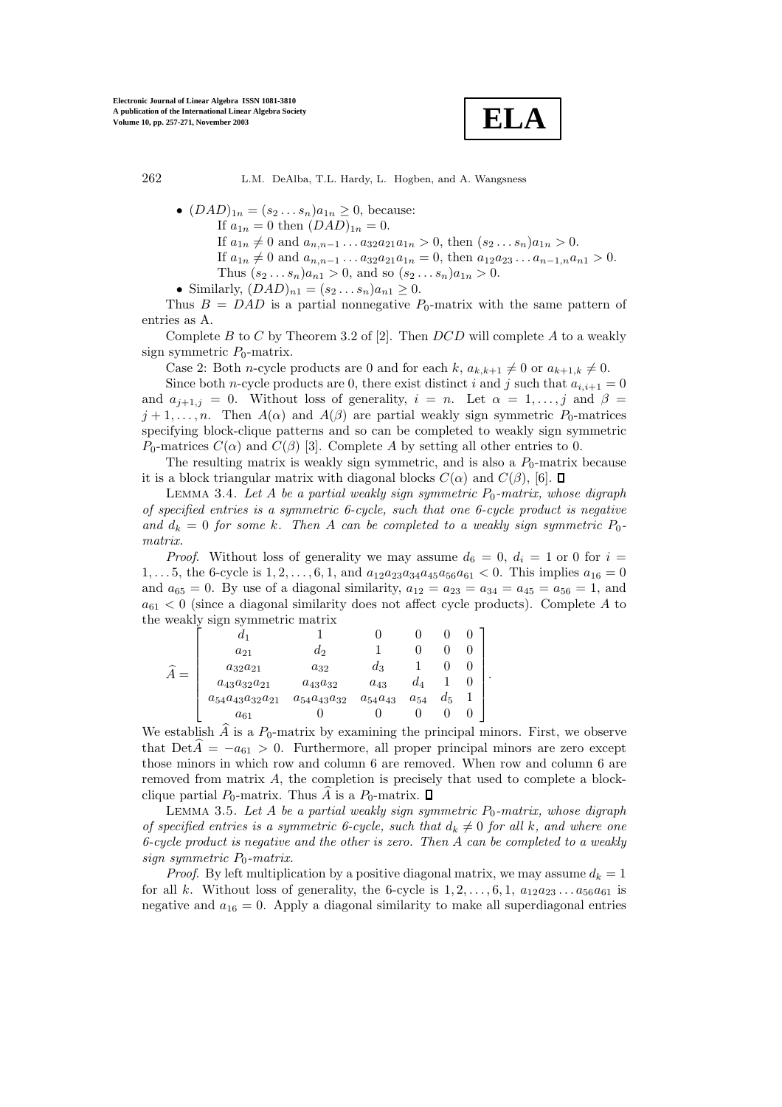

- $(DAD)_{1n} = (s_2 \dots s_n)a_{1n} \geq 0$ , because: If  $a_{1n} = 0$  then  $(DAD)_{1n} = 0$ . If  $a_{1n} \neq 0$  and  $a_{n,n-1} \ldots a_{32} a_{21} a_{1n} > 0$ , then  $(s_2 \ldots s_n) a_{1n} > 0$ . If  $a_{1n} \neq 0$  and  $a_{n,n-1} \ldots a_{32} a_{21} a_{1n} = 0$ , then  $a_{12} a_{23} \ldots a_{n-1,n} a_{n1} > 0$ . Thus  $(s_2...s_n)a_{n1} > 0$ , and so  $(s_2...s_n)a_{1n} > 0$ .
- Similarly,  $(DAD)_{n1} = (s_2 \dots s_n)a_{n1} \geq 0$ .

Thus  $B = DAD$  is a partial nonnegative  $P_0$ -matrix with the same pattern of entries as A.

Complete B to C by Theorem 3.2 of [2]. Then  $DCD$  will complete A to a weakly sign symmetric  $P_0$ -matrix.

Case 2: Both *n*-cycle products are 0 and for each k,  $a_{k,k+1} \neq 0$  or  $a_{k+1,k} \neq 0$ .

Since both *n*-cycle products are 0, there exist distinct i and j such that  $a_{i,i+1} = 0$ and  $a_{i+1,j} = 0$ . Without loss of generality,  $i = n$ . Let  $\alpha = 1, \ldots, j$  and  $\beta =$  $j + 1, \ldots, n$ . Then  $A(\alpha)$  and  $A(\beta)$  are partial weakly sign symmetric  $P_0$ -matrices specifying block-clique patterns and so can be completed to weakly sign symmetric  $P_0$ -matrices  $C(\alpha)$  and  $C(\beta)$  [3]. Complete A by setting all other entries to 0.

The resulting matrix is weakly sign symmetric, and is also a  $P_0$ -matrix because it is a block triangular matrix with diagonal blocks  $C(\alpha)$  and  $C(\beta)$ , [6].  $\square$ 

LEMMA 3.4. Let A be a partial weakly sign symmetric  $P_0$ -matrix, whose digraph *of specified entries is a symmetric 6-cycle, such that one 6-cycle product is negative* and  $d_k = 0$  *for some* k. Then A *can be completed to a weakly sign symmetric*  $P_0$ *matrix.*

*Proof.* Without loss of generality we may assume  $d_6 = 0$ ,  $d_i = 1$  or 0 for  $i =$ 1,... 5, the 6-cycle is  $1, 2, \ldots, 6, 1$ , and  $a_{12}a_{23}a_{34}a_{45}a_{56}a_{61} < 0$ . This implies  $a_{16} = 0$ and  $a_{65} = 0$ . By use of a diagonal similarity,  $a_{12} = a_{23} = a_{34} = a_{45} = a_{56} = 1$ , and  $a_{61}$  < 0 (since a diagonal similarity does not affect cycle products). Complete A to the weakly sign symmetric matrix

$$
\widehat{A} = \begin{bmatrix}\n\ddot{d}_1 & 1 & 0 & 0 & 0 & 0 \\
a_{21} & d_2 & 1 & 0 & 0 & 0 \\
a_{32}a_{21} & a_{32} & d_3 & 1 & 0 & 0 \\
a_{43}a_{32}a_{21} & a_{43}a_{32} & a_{43} & d_4 & 1 & 0 \\
a_{54}a_{43}a_{32}a_{21} & a_{54}a_{43}a_{32} & a_{54}a_{43} & a_{54} & d_5 & 1 \\
a_{61} & 0 & 0 & 0 & 0 & 0\n\end{bmatrix}.
$$

We establish  $\widehat{A}$  is a  $P_0$ -matrix by examining the principal minors. First, we observe that  $DetA = -a_{61} > 0$ . Furthermore, all proper principal minors are zero except those minors in which row and column 6 are removed. When row and column 6 are removed from matrix A, the completion is precisely that used to complete a blockclique partial  $P_0$ -matrix. Thus A is a  $P_0$ -matrix.  $\square$ 

LEMMA 3.5. Let A be a partial weakly sign symmetric  $P_0$ -matrix, whose digraph *of specified entries is a symmetric 6-cycle, such that*  $d_k \neq 0$  *for all* k*, and where one 6-cycle product is negative and the other is zero. Then* A *can be completed to a weakly sign symmetric*  $P_0$ *-matrix.* 

*Proof.* By left multiplication by a positive diagonal matrix, we may assume  $d_k = 1$ for all k. Without loss of generality, the 6-cycle is  $1, 2, \ldots, 6, 1, a_{12}a_{23} \ldots a_{56}a_{61}$  is negative and  $a_{16} = 0$ . Apply a diagonal similarity to make all superdiagonal entries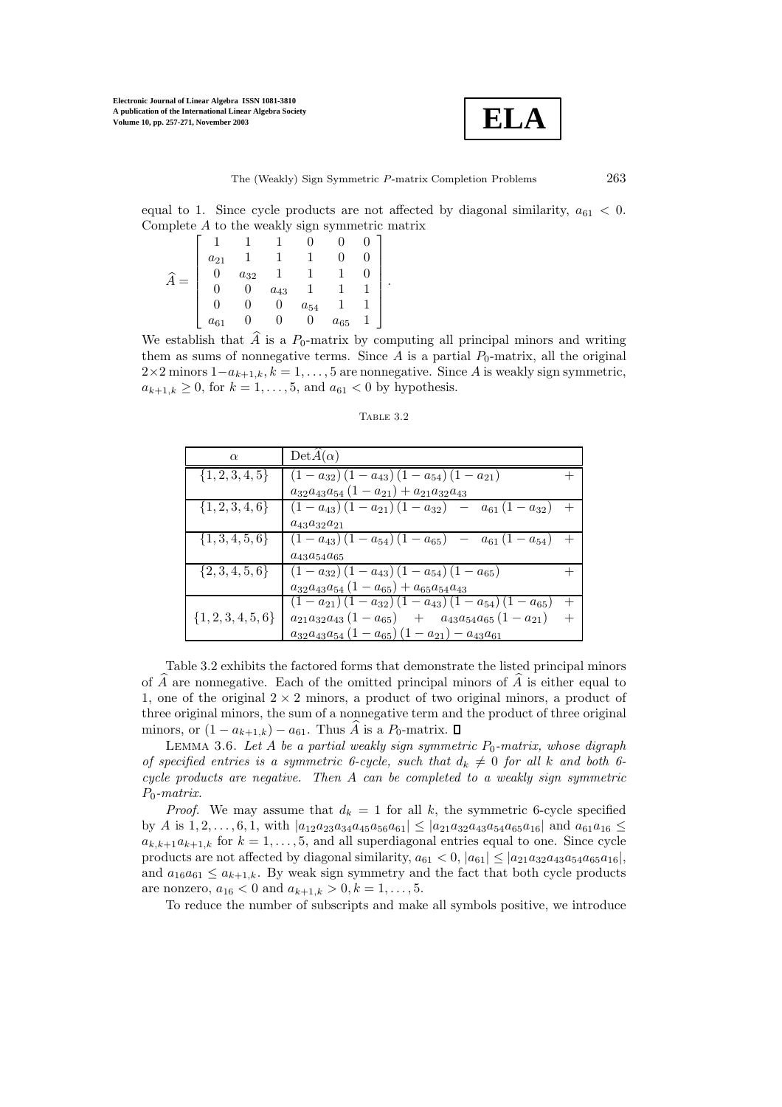

equal to 1. Since cycle products are not affected by diagonal similarity,  $a_{61} < 0$ . Complete A to the weakly sign symmetric matrix

.

$$
\widehat{A} = \begin{bmatrix}\n1 & 1 & 1 & 0 & 0 & 0 \\
a_{21} & 1 & 1 & 1 & 0 & 0 \\
0 & a_{32} & 1 & 1 & 1 & 0 \\
0 & 0 & a_{43} & 1 & 1 & 1 \\
0 & 0 & 0 & a_{54} & 1 & 1 \\
a_{61} & 0 & 0 & 0 & a_{65} & 1\n\end{bmatrix}
$$

We establish that  $\widehat{A}$  is a  $P_0$ -matrix by computing all principal minors and writing them as sums of nonnegative terms. Since A is a partial  $P_0$ -matrix, all the original  $2\times 2$  minors  $1-a_{k+1,k}, k=1,\ldots, 5$  are nonnegative. Since A is weakly sign symmetric,  $a_{k+1,k} \ge 0$ , for  $k = 1, ..., 5$ , and  $a_{61} < 0$  by hypothesis.

Table 3.2

| $\alpha$               | $DetA(\alpha)$                                                |        |
|------------------------|---------------------------------------------------------------|--------|
| $\{1, 2, 3, 4, 5\}$    | $(1-a_{32}) (1-a_{43}) (1-a_{54}) (1-a_{21})$                 |        |
|                        | $a_{32}a_{43}a_{54}(1-a_{21})+a_{21}a_{32}a_{43}$             |        |
| $\{1, 2, 3, 4, 6\}$    | $(1-a_{43})(1-a_{21})(1-a_{32}) - a_{61}(1-a_{32})$           |        |
|                        | $a_{43}a_{32}a_{21}$                                          |        |
| $\{1,3,4,5,6\}$        | $(1-a_{43}) (1-a_{54}) (1-a_{65}) - a_{61} (1-a_{54})$        |        |
|                        | $a_{43}a_{54}a_{65}$                                          |        |
| $\{2,3,4,5,6\}$        | $(1-a_{32}) (1-a_{43}) (1-a_{54}) (1-a_{65})$                 |        |
|                        | $a_{32}a_{43}a_{54} (1 - a_{65}) + a_{65}a_{54}a_{43}$        |        |
|                        | $(1-a_{21})(1-a_{32})(1-a_{43})(1-a_{54})(1-a_{65})$          |        |
| $\{1, 2, 3, 4, 5, 6\}$ | $a_{21}a_{32}a_{43}(1-a_{65}) + a_{43}a_{54}a_{65}(1-a_{21})$ | $^{+}$ |
|                        | $a_{32}a_{43}a_{54}(1-a_{65})(1-a_{21})-a_{43}a_{61}$         |        |

Table 3.2 exhibits the factored forms that demonstrate the listed principal minors of  $\hat{A}$  are nonnegative. Each of the omitted principal minors of  $\hat{A}$  is either equal to 1, one of the original  $2 \times 2$  minors, a product of two original minors, a product of three original minors, the sum of a nonnegative term and the product of three original minors, or  $(1 - a_{k+1,k}) - a_{61}$ . Thus  $\hat{A}$  is a  $P_0$ -matrix.  $\square$ 

LEMMA 3.6. Let A be a partial weakly sign symmetric  $P_0$ -matrix, whose digraph *of specified entries is a symmetric 6-cycle, such that*  $d_k \neq 0$  *for all* k and both 6*cycle products are negative. Then* A *can be completed to a weakly sign symmetric* P0*-matrix.*

*Proof.* We may assume that  $d_k = 1$  for all k, the symmetric 6-cycle specified by A is  $1, 2, \ldots, 6, 1$ , with  $|a_{12}a_{23}a_{34}a_{45}a_{56}a_{61}| \leq |a_{21}a_{32}a_{43}a_{54}a_{65}a_{16}|$  and  $a_{61}a_{16} \leq$  $a_{k,k+1}a_{k+1,k}$  for  $k = 1, \ldots, 5$ , and all superdiagonal entries equal to one. Since cycle products are not affected by diagonal similarity,  $a_{61} < 0$ ,  $|a_{61}| \leq |a_{21}a_{32}a_{43}a_{54}a_{65}a_{16}|$ , and  $a_{16}a_{61} \leq a_{k+1,k}$ . By weak sign symmetry and the fact that both cycle products are nonzero,  $a_{16} < 0$  and  $a_{k+1,k} > 0, k = 1, \ldots, 5$ .

To reduce the number of subscripts and make all symbols positive, we introduce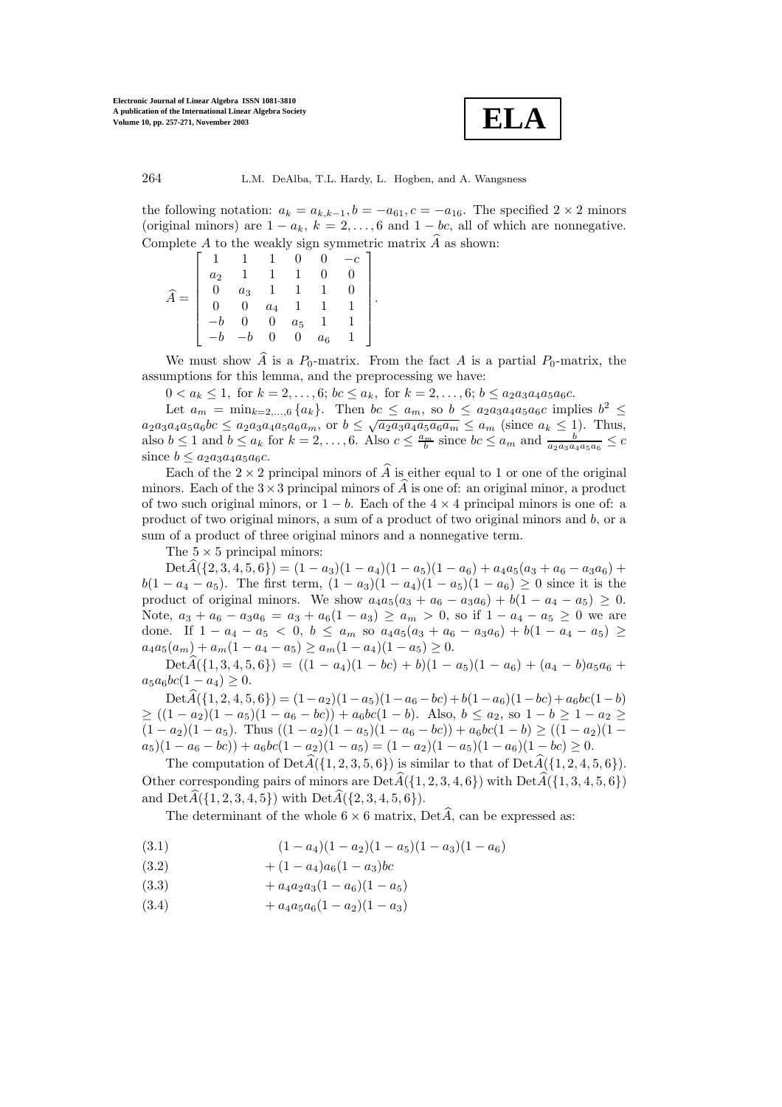

the following notation:  $a_k = a_{k,k-1}, b = -a_{61}, c = -a_{16}$ . The specified  $2 \times 2$  minors (original minors) are  $1 - a_k$ ,  $k = 2, ..., 6$  and  $1 - bc$ , all of which are nonnegative. Complete A to the weakly sign symmetric matrix  $\hat{A}$  as shown:

| a <sub>2</sub> |             |                |       |       |  |
|----------------|-------------|----------------|-------|-------|--|
|                | $a_3$       | $\overline{1}$ |       |       |  |
|                | $\tilde{0}$ | $a_4$ 1        |       |       |  |
|                |             |                | $a_5$ |       |  |
|                |             |                | 0     | $a_6$ |  |

We must show  $\widehat{A}$  is a  $P_0$ -matrix. From the fact A is a partial  $P_0$ -matrix, the assumptions for this lemma, and the preprocessing we have:

.

 $0 < a_k \leq 1$ , for  $k = 2, ..., 6$ ;  $bc \leq a_k$ , for  $k = 2, ..., 6$ ;  $b \leq a_2 a_3 a_4 a_5 a_6 c$ .

Let  $a_m = \min_{k=2,\dots,6} \{a_k\}$ . Then  $bc \le a_m$ , so  $b \le a_2a_3a_4a_5a_6c$  implies  $b^2 \le$  $a_2a_3a_4a_5a_6bc \le a_2a_3a_4a_5a_6a_m$ , or  $b \le \sqrt{a_2a_3a_4a_5a_6a_m} \le a_m$  (since  $a_k \le 1$ ). Thus, also  $b \leq 1$  and  $b \leq a_k$  for  $k = 2, ..., 6$ . Also  $c \leq \frac{a_m}{b}$  since  $bc \leq a_m$  and  $\frac{b'}{a_{2}a_{3}a_{4}a_{5}a_{6}} \leq c$ since  $b \leq a_2a_3a_4a_5a_6c$ .

Each of the  $2 \times 2$  principal minors of  $\hat{A}$  is either equal to 1 or one of the original minors. Each of the  $3\times 3$  principal minors of A is one of: an original minor, a product of two such original minors, or  $1 - b$ . Each of the  $4 \times 4$  principal minors is one of: a product of two original minors, a sum of a product of two original minors and b, or a sum of a product of three original minors and a nonnegative term.

The  $5 \times 5$  principal minors:

 $\text{Det}\widehat{A}(\{2,3,4,5,6\}) = (1-a_3)(1-a_4)(1-a_5)(1-a_6) + a_4a_5(a_3+a_6-a_3a_6) +$  $b(1 - a_4 - a_5)$ . The first term,  $(1 - a_3)(1 - a_4)(1 - a_5)(1 - a_6) \ge 0$  since it is the product of original minors. We show  $a_4a_5(a_3 + a_6 - a_3a_6) + b(1 - a_4 - a_5) \ge 0$ . Note,  $a_3 + a_6 - a_3 a_6 = a_3 + a_6 (1 - a_3) \ge a_m > 0$ , so if  $1 - a_4 - a_5 \ge 0$  we are done. If  $1 - a_4 - a_5 < 0$ ,  $b \le a_m$  so  $a_4a_5(a_3 + a_6 - a_3a_6) + b(1 - a_4 - a_5) \ge$  $a_4a_5(a_m) + a_m(1 - a_4 - a_5) \ge a_m(1 - a_4)(1 - a_5) \ge 0.$ 

 $\text{Det}\widehat{A}(\{1,3,4,5,6\}) = ((1-a_4)(1-bc)+b)(1-a_5)(1-a_6)+(a_4-b)a_5a_6 +$  $a_5a_6bc(1 - a_4) \geq 0.$ 

 $\text{Det}\widehat{A}(\{1, 2, 4, 5, 6\}) = (1-a_2)(1-a_5)(1-a_6-bc) + b(1-a_6)(1-bc) + a_6bc(1-b)$  $\geq ((1-a_2)(1-a_5)(1-a_6-bc)) + a_6bc(1-b)$ . Also,  $b \leq a_2$ , so  $1-b \geq 1-a_2 \geq$  $(1 - a_2)(1 - a_5)$ . Thus  $((1 - a_2)(1 - a_5)(1 - a_6 - bc)) + a_6bc(1 - b) \ge ((1 - a_2)(1 - a_7))$  $a_5(1 - a_6 - bc) + a_6bc(1 - a_2)(1 - a_5) = (1 - a_2)(1 - a_5)(1 - a_6)(1 - bc) \ge 0.$ 

The computation of  $Det\vec{A}(\{1, 2, 3, 5, 6\})$  is similar to that of  $Det\vec{A}(\{1, 2, 4, 5, 6\})$ . Other corresponding pairs of minors are  $Det\hat{A}(\{1, 2, 3, 4, 6\})$  with  $Det\hat{A}(\{1, 3, 4, 5, 6\})$ and  $Det\widehat{A}(\{1, 2, 3, 4, 5\})$  with  $Det\widehat{A}(\{2, 3, 4, 5, 6\}).$ 

The determinant of the whole  $6 \times 6$  matrix, Det $\widehat{A}$ , can be expressed as:

(3.1) 
$$
(1-a_4)(1-a_2)(1-a_5)(1-a_3)(1-a_6)
$$

- $(3.2)$  +  $(1 a_4)a_6(1 a_3)bc$
- (3.3)  $+ a_4 a_2 a_3 (1 a_6) (1 a_5)$
- (3.4)  $+ a_4 a_5 a_6 (1 a_2)(1 a_3)$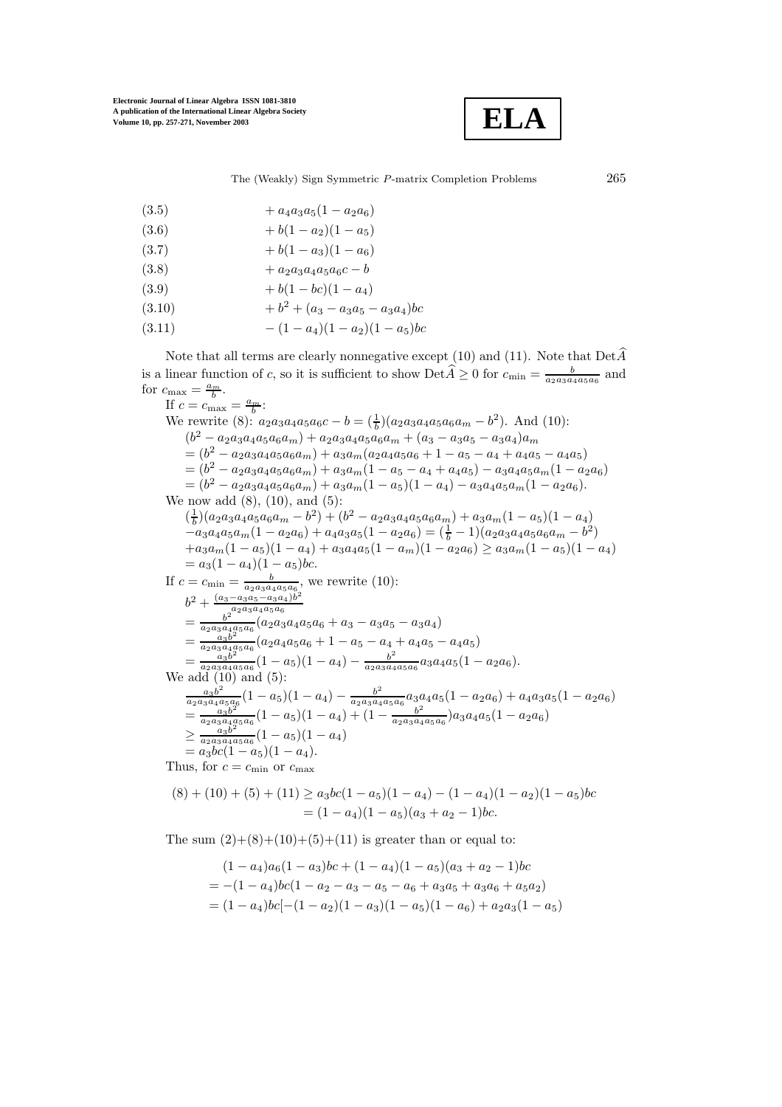

- (3.5)  $+ a_4 a_3 a_5 (1 a_2 a_6)$
- (3.6)  $+ b(1 a_2)(1 a_5)$
- (3.7)  $+ b(1 a_3)(1 a_6)$
- $(3.8)$  +  $a_{2}a_{3}a_{4}a_{5}a_{6}c b$
- $(3.9)$  + b(1 bc)(1 a<sub>4</sub>)
- $+ b<sup>2</sup> + (a<sub>3</sub> a<sub>3</sub>a<sub>5</sub> a<sub>3</sub>a<sub>4</sub>)bc$
- (3.11)  $-(1-a_4)(1-a_2)(1-a_5)bc$

Note that all terms are clearly nonnegative except (10) and (11). Note that  $Det\hat{A}$ is a linear function of c, so it is sufficient to show  $\text{Det}\widehat{A} \geq 0$  for  $c_{\min} = \frac{b}{a_2 a_3 a_4 a_5 a_6}$  and for  $c_{\text{max}} = \frac{a_m}{b}$ .

If  $c = c_{\text{max}} = \frac{a_m}{b}$ : We rewrite (8):  $a_2a_3a_4a_5a_6c - b = (\frac{1}{b})(a_2a_3a_4a_5a_6a_m - b^2)$ . And (10):  $(b^{2} - a_{2}a_{3}a_{4}a_{5}a_{6}a_{m}) + a_{2}a_{3}a_{4}a_{5}a_{6}a_{m} + (a_{3} - a_{3}a_{5} - a_{3}a_{4})a_{m}$  $= (b^2 - a_{2a3a4a5a6a_m}) + a_{3a_m(a_{2a4a5a6} + 1 - a_{5} - a_{4} + a_{4}a_{5} - a_{4}a_{5})$  $= (b^2 - a_2 a_3 a_4 a_5 a_6 a_m) + a_3 a_m (1 - a_5 - a_4 + a_4 a_5) - a_3 a_4 a_5 a_m (1 - a_2 a_6)$  $=(b^2 - a_2a_3a_4a_5a_6a_m) + a_3a_m(1 - a_5)(1 - a_4) - a_3a_4a_5a_m(1 - a_2a_6).$ We now add  $(8)$ ,  $(10)$ , and  $(5)$ :  $\left(\frac{1}{b}\right) \left(a_2 a_3 a_4 a_5 a_6 a_m - b^2\right) + \left(b^2 - a_2 a_3 a_4 a_5 a_6 a_m\right) + a_3 a_m (1 - a_5) (1 - a_4)$  $-a_3a_4a_5a_m(1-a_2a_6) + a_4a_3a_5(1-a_2a_6) = (\frac{1}{b}-1)(a_2a_3a_4a_5a_6a_m - b^2)$  $+a_3a_m(1-a_5)(1-a_4)+a_3a_4a_5(1-a_m)(1-a_2a_6) \geq a_3a_m(1-a_5)(1-a_4)$ <br>=  $a_3(1-a_4)(1-a_5)bc.$  $= a_3(1 - a_4)(1 - a_5)bc.$ If  $c = c_{\min} = \frac{b}{a_2 a_3 a_4 a_5 a_6}$ , we rewrite (10):  $b^2 + \frac{(a_3 - a_3a_5 - a_3a_4)b^2}{b^2 \cdot a_2a_3a_4a_5a_6}$ <br>=  $\frac{b^2}{a_2a_3a_4a_5a_6}(a_2a_3a_4a_5a_6 + a_3 - a_3a_5 - a_3a_4)$  $=\frac{a_3b^2}{a_2a_3a_4a_5a_6}(a_2a_4a_5a_6+1-a_5-a_4+a_4a_5-a_4a_5)$  $=\frac{a_3b^2}{a_2a_3a_4a_5a_6}(1-a_5)(1-a_4)-\frac{b^2}{a_2a_3a_4a_5a_6}a_3a_4a_5(1-a_2a_6).$ We add  $(10)$  and  $(5)$ :  $\frac{a_3b^2}{a_2a_3a_4a_5a_6}(1-a_5)(1-a_4)-\frac{b^2}{a_2a_3a_4a_5a_6}a_3a_4a_5(1-a_2a_6)+a_4a_3a_5(1-a_2a_6)$  $=\frac{a_3b^2}{a_2a_3a_4a_5a_6}(1-a_5)(1-a_4)+(1-\frac{b^2}{a_2a_3a_4a_5a_6})a_3a_4a_5(1-a_2a_6)$  $\geq \frac{a_3b^2}{a_2a_3a_4a_5a_6}(1-a_5)(1-a_4)$  $= a_3bc(1-a_5)(1-a_4).$ Thus, for  $c = c_{\text{min}}$  or  $c_{\text{max}}$ 

$$
(8) + (10) + (5) + (11) \ge a_3bc(1 - a_5)(1 - a_4) - (1 - a_4)(1 - a_2)(1 - a_5)bc
$$
  
= (1 - a\_4)(1 - a\_5)(a\_3 + a\_2 - 1)bc.

The sum  $(2)+(8)+(10)+(5)+(11)$  is greater than or equal to:

$$
(1 - a_4)a_6(1 - a_3)bc + (1 - a_4)(1 - a_5)(a_3 + a_2 - 1)bc
$$
  
= -(1 - a\_4)bc(1 - a\_2 - a\_3 - a\_5 - a\_6 + a\_3a\_5 + a\_3a\_6 + a\_5a\_2)  
= (1 - a\_4)bc[-(1 - a\_2)(1 - a\_3)(1 - a\_5)(1 - a\_6) + a\_2a\_3(1 - a\_5)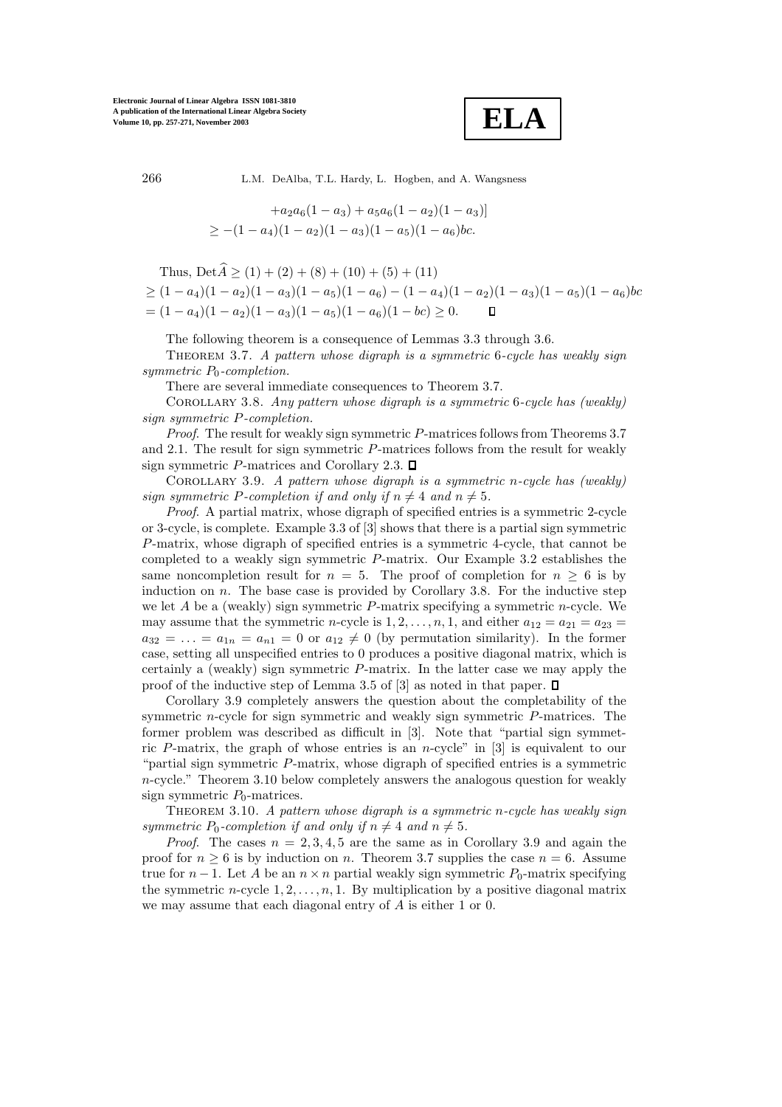

$$
+a_2a_6(1-a_3)+a_5a_6(1-a_2)(1-a_3)]
$$
  
\n
$$
\geq -(1-a_4)(1-a_2)(1-a_3)(1-a_5)(1-a_6)bc.
$$

Thus,  $\text{Det}\widehat{A} > (1) + (2) + (8) + (10) + (5) + (11)$ 

 $\geq (1-a_4)(1-a_2)(1-a_3)(1-a_5)(1-a_6)-(1-a_4)(1-a_2)(1-a_3)(1-a_5)(1-a_6)bc$  $= (1 - a_4)(1 - a_2)(1 - a_3)(1 - a_5)(1 - a_6)(1 - b_6) \ge 0.$  $\Box$ 

The following theorem is a consequence of Lemmas 3.3 through 3.6.

Theorem 3.7. *A pattern whose digraph is a symmetric* <sup>6</sup>*-cycle has weakly sign symmetric*  $P_0$ -completion.

There are several immediate consequences to Theorem 3.7.

Corollary 3.8. *Any pattern whose digraph is a symmetric* <sup>6</sup>*-cycle has (weakly) sign symmetric* P*-completion.*

*Proof*. The result for weakly sign symmetric P-matrices follows from Theorems 3.7 and 2.1. The result for sign symmetric P-matrices follows from the result for weakly sign symmetric P-matrices and Corollary 2.3.  $\Box$ 

Corollary 3.9. *A pattern whose digraph is a symmetric* <sup>n</sup>*-cycle has (weakly) sign symmetric* P-completion if and only if  $n \neq 4$  and  $n \neq 5$ .

*Proof*. A partial matrix, whose digraph of specified entries is a symmetric 2-cycle or 3-cycle, is complete. Example 3.3 of [3] shows that there is a partial sign symmetric P-matrix, whose digraph of specified entries is a symmetric 4-cycle, that cannot be completed to a weakly sign symmetric P-matrix. Our Example 3.2 establishes the same noncompletion result for  $n = 5$ . The proof of completion for  $n \geq 6$  is by induction on  $n$ . The base case is provided by Corollary 3.8. For the inductive step we let  $A$  be a (weakly) sign symmetric  $P$ -matrix specifying a symmetric  $n$ -cycle. We may assume that the symmetric *n*-cycle is  $1, 2, \ldots, n, 1$ , and either  $a_{12} = a_{21} = a_{23}$  $a_{32} = \ldots = a_{1n} = a_{n1} = 0$  or  $a_{12} \neq 0$  (by permutation similarity). In the former case, setting all unspecified entries to 0 produces a positive diagonal matrix, which is certainly a (weakly) sign symmetric  $P$ -matrix. In the latter case we may apply the proof of the inductive step of Lemma 3.5 of [3] as noted in that paper.  $\Box$ 

Corollary 3.9 completely answers the question about the completability of the symmetric n-cycle for sign symmetric and weakly sign symmetric P-matrices. The former problem was described as difficult in [3]. Note that "partial sign symmetric P-matrix, the graph of whose entries is an *n*-cycle" in  $[3]$  is equivalent to our "partial sign symmetric P-matrix, whose digraph of specified entries is a symmetric n-cycle." Theorem 3.10 below completely answers the analogous question for weakly sign symmetric  $P_0$ -matrices.

Theorem 3.10. *A pattern whose digraph is a symmetric* <sup>n</sup>*-cycle has weakly sign symmetric*  $P_0$ -completion if and only if  $n \neq 4$  and  $n \neq 5$ .

*Proof.* The cases  $n = 2, 3, 4, 5$  are the same as in Corollary 3.9 and again the proof for  $n \geq 6$  is by induction on n. Theorem 3.7 supplies the case  $n = 6$ . Assume true for  $n-1$ . Let A be an  $n \times n$  partial weakly sign symmetric  $P_0$ -matrix specifying the symmetric  $n$ -cycle  $1, 2, \ldots, n, 1$ . By multiplication by a positive diagonal matrix we may assume that each diagonal entry of A is either 1 or 0.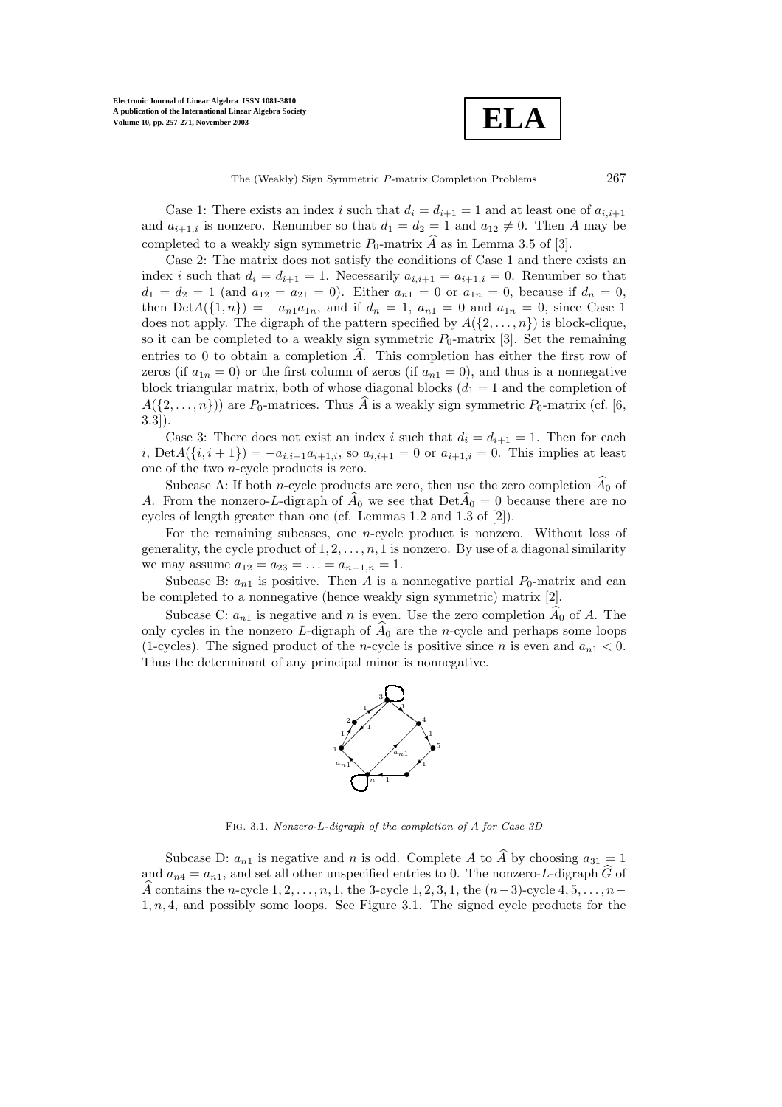**Electronic Journal of Linear Algebra ISSN 1081-3810 A publication of the International Linear Algebra Society Volume 10, pp. 257-271, November 2003**

**ELA**

The (Weakly) Sign Symmetric P-matrix Completion Problems 267

Case 1: There exists an index i such that  $d_i = d_{i+1} = 1$  and at least one of  $a_{i,i+1}$ and  $a_{i+1,i}$  is nonzero. Renumber so that  $d_1 = d_2 = 1$  and  $a_{12} \neq 0$ . Then A may be completed to a weakly sign symmetric  $P_0$ -matrix  $\widehat{A}$  as in Lemma 3.5 of [3].

Case 2: The matrix does not satisfy the conditions of Case 1 and there exists an index i such that  $d_i = d_{i+1} = 1$ . Necessarily  $a_{i,i+1} = a_{i+1,i} = 0$ . Renumber so that  $d_1 = d_2 = 1$  (and  $a_{12} = a_{21} = 0$ ). Either  $a_{n1} = 0$  or  $a_{1n} = 0$ , because if  $d_n = 0$ , then  $Det A({1, n}) = -a_{n1}a_{1n}$ , and if  $d_n = 1$ ,  $a_{n1} = 0$  and  $a_{1n} = 0$ , since Case 1 does not apply. The digraph of the pattern specified by  $A({2,\ldots,n})$  is block-clique, so it can be completed to a weakly sign symmetric  $P_0$ -matrix [3]. Set the remaining entries to 0 to obtain a completion  $\hat{A}$ . This completion has either the first row of zeros (if  $a_{1n} = 0$ ) or the first column of zeros (if  $a_{n1} = 0$ ), and thus is a nonnegative block triangular matrix, both of whose diagonal blocks  $(d_1 = 1$  and the completion of  $A({2,\ldots,n})$ ) are  $P_0$ -matrices. Thus  $\hat{A}$  is a weakly sign symmetric  $P_0$ -matrix (cf. [6, 3.3]).

Case 3: There does not exist an index i such that  $d_i = d_{i+1} = 1$ . Then for each i,  $\text{Det}A(\{i, i + 1\}) = -a_{i,i+1}a_{i+1,i}$ , so  $a_{i,i+1} = 0$  or  $a_{i+1,i} = 0$ . This implies at least one of the two n-cycle products is zero.

Subcase A: If both *n*-cycle products are zero, then use the zero completion  $\widehat{A}_0$  of A. From the nonzero-L-digraph of  $\widehat{A}_0$  we see that  $Det \widehat{A}_0 = 0$  because there are no cycles of length greater than one (cf. Lemmas 1.2 and 1.3 of [2]).

For the remaining subcases, one n-cycle product is nonzero. Without loss of generality, the cycle product of  $1, 2, \ldots, n, 1$  is nonzero. By use of a diagonal similarity we may assume  $a_{12} = a_{23} = \ldots = a_{n-1,n} = 1$ .

Subcase B:  $a_{n1}$  is positive. Then A is a nonnegative partial  $P_0$ -matrix and can be completed to a nonnegative (hence weakly sign symmetric) matrix [2].

Subcase C:  $a_{n1}$  is negative and n is even. Use the zero completion  $\widehat{A}_0$  of A. The only cycles in the nonzero L-digraph of  $\hat{A}_0$  are the n-cycle and perhaps some loops (1-cycles). The signed product of the *n*-cycle is positive since *n* is even and  $a_{n1} < 0$ . Thus the determinant of any principal minor is nonnegative.



Fig. 3.1. *Nonzero-*L*-digraph of the completion of* <sup>A</sup> *for Case 3D*

Subcase D:  $a_{n1}$  is negative and n is odd. Complete A to  $\widehat{A}$  by choosing  $a_{31} = 1$ and  $a_{n4} = a_{n1}$ , and set all other unspecified entries to 0. The nonzero-L-digraph  $\widehat{G}$  of A contains the n-cycle  $1, 2, \ldots, n, 1$ , the 3-cycle  $1, 2, 3, 1$ , the  $(n-3)$ -cycle  $4, 5, \ldots, n-1$  $1, n, 4$ , and possibly some loops. See Figure 3.1. The signed cycle products for the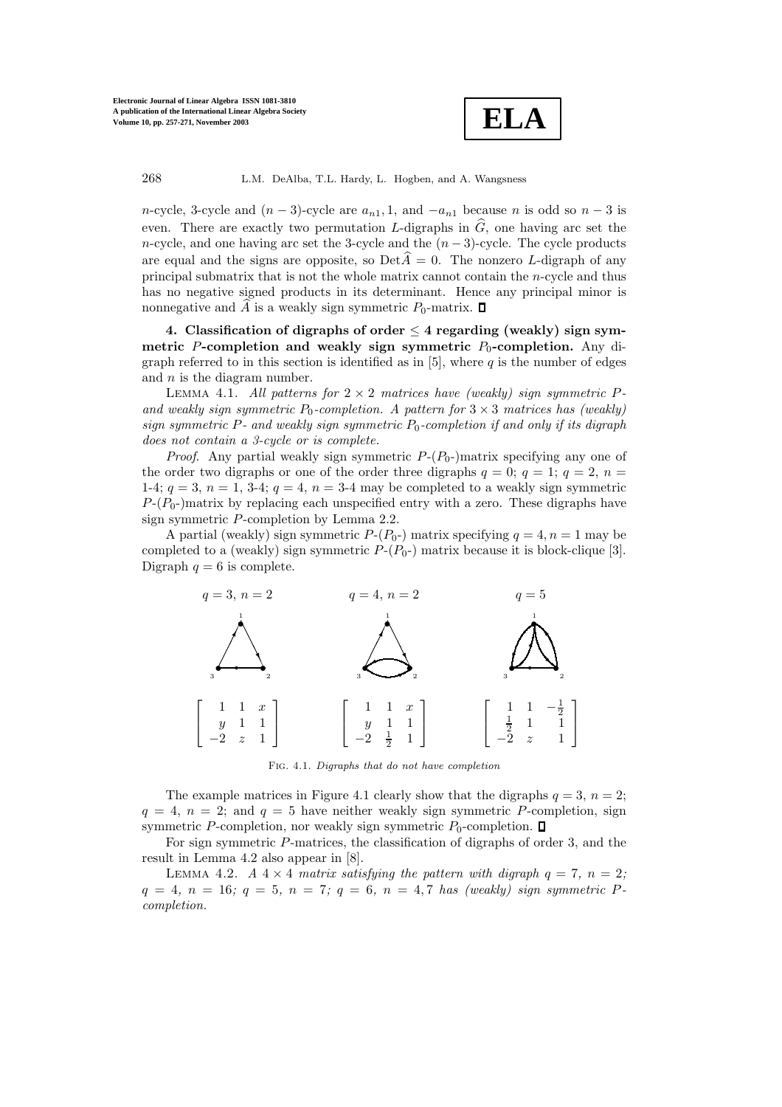

n-cycle, 3-cycle and  $(n-3)$ -cycle are  $a_{n1}$ , 1, and  $-a_{n1}$  because n is odd so  $n-3$  is even. There are exactly two permutation L-digraphs in  $\widehat{G}$ , one having arc set the n-cycle, and one having arc set the 3-cycle and the  $(n-3)$ -cycle. The cycle products are equal and the signs are opposite, so  $\text{Det}\widehat{A} = 0$ . The nonzero L-digraph of any principal submatrix that is not the whole matrix cannot contain the n-cycle and thus has no negative signed products in its determinant. Hence any principal minor is nonnegative and  $\widehat{A}$  is a weakly sign symmetric  $P_0$ -matrix.  $\square$ 

**4. Classification of digraphs of order** ≤ **4 regarding (weakly) sign symmetric** P-completion and weakly sign symmetric  $P_0$ -completion. Any digraph referred to in this section is identified as in [5], where  $q$  is the number of edges and  $n$  is the diagram number.

Lemma 4.1. *All patterns for* <sup>2</sup> <sup>×</sup> <sup>2</sup> *matrices have (weakly) sign symmetric* <sup>P</sup>and weakly sign symmetric  $P_0$ -completion. A pattern for  $3 \times 3$  matrices has (weakly)  $sign$  symmetric  $P$ - and weakly sign symmetric  $P_0$ -completion if and only if its digraph *does not contain a 3-cycle or is complete.*

*Proof.* Any partial weakly sign symmetric  $P-(P_0)$  matrix specifying any one of the order two digraphs or one of the order three digraphs  $q = 0$ ;  $q = 1$ ;  $q = 2$ ,  $n =$ 1-4;  $q = 3$ ,  $n = 1$ , 3-4;  $q = 4$ ,  $n = 3$ -4 may be completed to a weakly sign symmetric  $P-(P_0)$ matrix by replacing each unspecified entry with a zero. These digraphs have sign symmetric P-completion by Lemma 2.2.

A partial (weakly) sign symmetric  $P-(P_0-)$  matrix specifying  $q = 4, n = 1$  may be completed to a (weakly) sign symmetric  $P-(P_0-)$  matrix because it is block-clique [3]. Digraph  $q = 6$  is complete.



Fig. 4.1. *Digraphs that do not have completion*

The example matrices in Figure 4.1 clearly show that the digraphs  $q = 3$ ,  $n = 2$ ;  $q = 4$ ,  $n = 2$ ; and  $q = 5$  have neither weakly sign symmetric P-completion, sign symmetric P-completion, nor weakly sign symmetric  $P_0$ -completion.  $\Box$ 

For sign symmetric P-matrices, the classification of digraphs of order 3, and the result in Lemma 4.2 also appear in [8].

LEMMA 4.2. *A*  $4 \times 4$  *matrix satisfying the pattern with digraph*  $q = 7$ ,  $n = 2$ ;  $q = 4, n = 16; q = 5, n = 7; q = 6, n = 4, 7$  *has (weakly) sign symmetric* P*completion.*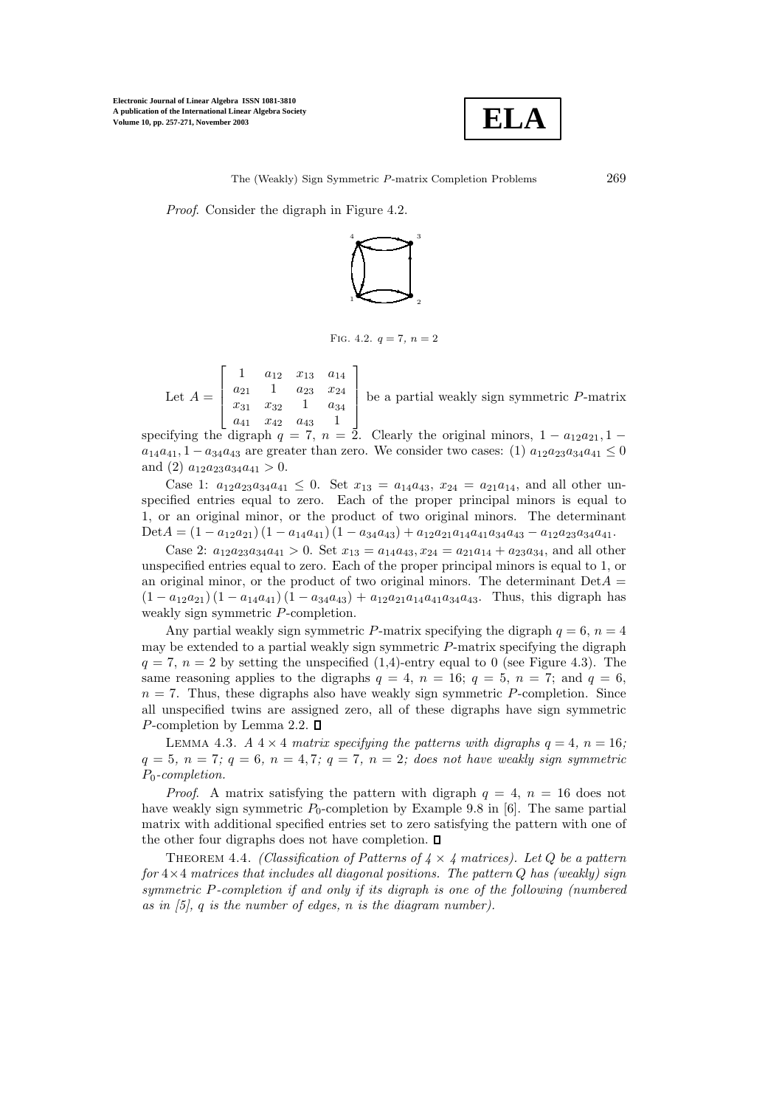**Electronic Journal of Linear Algebra ISSN 1081-3810 A publication of the International Linear Algebra Society Volume 10, pp. 257-271, November 2003**



*Proof*. Consider the digraph in Figure 4.2.



FIG. 4.2.  $q = 7, n = 2$ 

Let  $A =$  $\overline{1}$  $\Big\}$ 1  $a_{12}$   $x_{13}$   $a_{14}$  $a_{21}$  1  $a_{23}$   $x_{24}$  $x_{31}$   $x_{32}$  1  $a_{34}$  $a_{41}$   $x_{42}$   $a_{43}$  1 l.  $\overline{\phantom{a}}$ be a partial weakly sign symmetric P-matrix

specifying the digraph  $q = 7$ ,  $n = 2$ . Clearly the original minors,  $1 - a_{12}a_{21}$ ,  $1 - a_{12}a_{22}$  $a_{14}a_{41}$ ,  $1 - a_{34}a_{43}$  are greater than zero. We consider two cases: (1)  $a_{12}a_{23}a_{34}a_{41} \leq 0$ and (2)  $a_{12}a_{23}a_{34}a_{41} > 0$ .

Case 1:  $a_{12}a_{23}a_{34}a_{41} \leq 0$ . Set  $x_{13} = a_{14}a_{43}, x_{24} = a_{21}a_{14}$ , and all other unspecified entries equal to zero. Each of the proper principal minors is equal to 1, or an original minor, or the product of two original minors. The determinant Det $A = (1 - a_{12}a_{21})(1 - a_{14}a_{41})(1 - a_{34}a_{43}) + a_{12}a_{21}a_{14}a_{41}a_{34}a_{43} - a_{12}a_{23}a_{34}a_{41}.$ 

Case 2:  $a_{12}a_{23}a_{34}a_{41} > 0$ . Set  $x_{13} = a_{14}a_{43}, x_{24} = a_{21}a_{14} + a_{23}a_{34}$ , and all other unspecified entries equal to zero. Each of the proper principal minors is equal to 1, or an original minor, or the product of two original minors. The determinant  $Det A =$  $(1 - a_{12}a_{21}) (1 - a_{14}a_{41}) (1 - a_{34}a_{43}) + a_{12}a_{21}a_{14}a_{41}a_{34}a_{43}$ . Thus, this digraph has weakly sign symmetric P-completion.

Any partial weakly sign symmetric P-matrix specifying the digraph  $q = 6$ ,  $n = 4$ may be extended to a partial weakly sign symmetric P-matrix specifying the digraph  $q = 7$ ,  $n = 2$  by setting the unspecified (1,4)-entry equal to 0 (see Figure 4.3). The same reasoning applies to the digraphs  $q = 4$ ,  $n = 16$ ;  $q = 5$ ,  $n = 7$ ; and  $q = 6$ ,  $n = 7$ . Thus, these digraphs also have weakly sign symmetric P-completion. Since all unspecified twins are assigned zero, all of these digraphs have sign symmetric P-completion by Lemma 2.2.  $\square$ 

LEMMA 4.3. *A*  $4 \times 4$  *matrix specifying the patterns with digraphs*  $q = 4$ ,  $n = 16$ ;  $q = 5, n = 7; q = 6, n = 4, 7; q = 7, n = 2;$  does not have weakly sign symmetric P0*-completion.*

*Proof.* A matrix satisfying the pattern with digraph  $q = 4$ ,  $n = 16$  does not have weakly sign symmetric  $P_0$ -completion by Example 9.8 in [6]. The same partial matrix with additional specified entries set to zero satisfying the pattern with one of the other four digraphs does not have completion.  $\Box$ 

THEOREM 4.4. *(Classification of Patterns of*  $4 \times 4$  matrices). Let Q be a pattern *for* 4×4 *matrices that includes all diagonal positions. The pattern* Q *has (weakly) sign symmetric* P*-completion if and only if its digraph is one of the following (numbered as in [5],* q *is the number of edges,* n *is the diagram number).*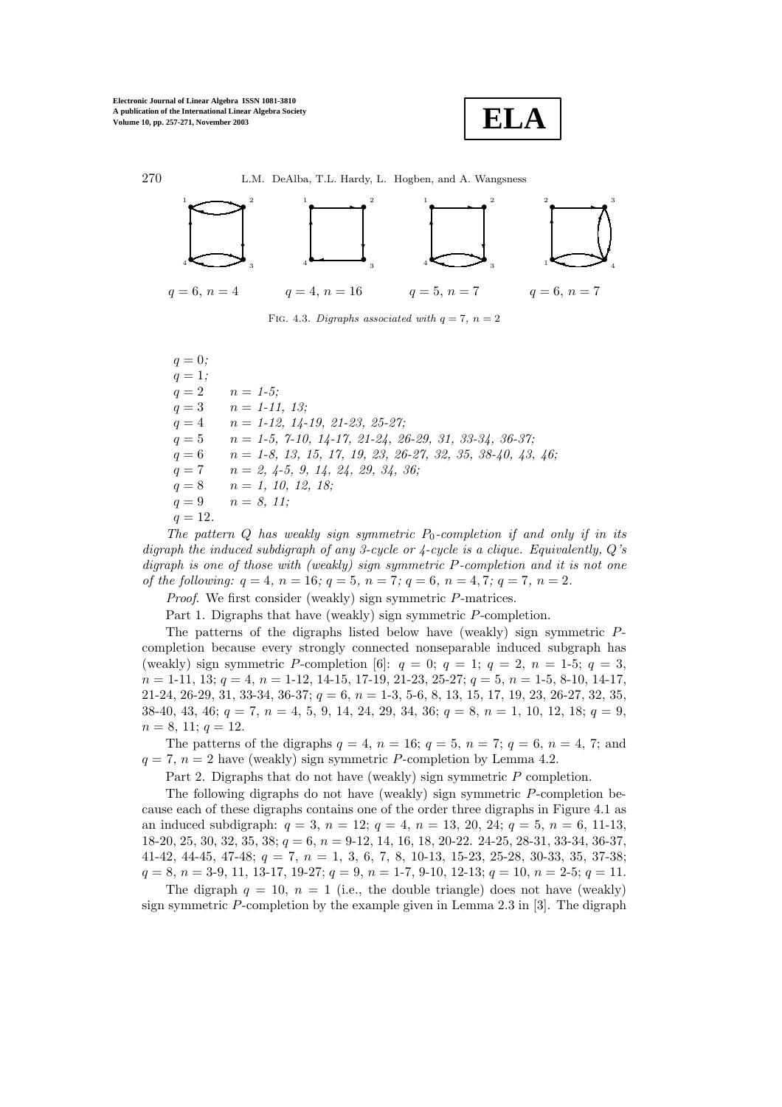**Electronic Journal of Linear Algebra ISSN 1081-3810 A publication of the International Linear Algebra Society Volume 10, pp. 257-271, November 2003**





FIG. 4.3. *Digraphs associated with*  $q = 7$ ,  $n = 2$ 

 $q = 0$ *;*  $q = 1;$  $q = 2$   $n = 1-5$ ;  $q = 3$   $n = 1-11, 13;$ q = 4 n = *1-12, 14-19, 21-23, 25-27;* q = 5 n = *1-5, 7-10, 14-17, 21-24, 26-29, 31, 33-34, 36-37;* q = 6 n = *1-8, 13, 15, 17, 19, 23, 26-27, 32, 35, 38-40, 43, 46;* q = 7 n = *2, 4-5, 9, 14, 24, 29, 34, 36;*  $q = 8$   $n = 1, 10, 12, 18;$  $q = 9$   $n = 8, 11;$ 

 $q = 12.$ 

*The pattern* Q has weakly sign symmetric  $P_0$ -completion if and only if in its *digraph the induced subdigraph of any 3-cycle or 4-cycle is a clique. Equivalently,* Q*'s digraph is one of those with (weakly) sign symmetric* P*-completion and it is not one of the following:* q = 4*,* n = 16*;* q = 5*,* n = 7*;* q = 6*,* n = 4, 7*;* q = 7*,* n = 2*.*

*Proof*. We first consider (weakly) sign symmetric P-matrices.

Part 1. Digraphs that have (weakly) sign symmetric P-completion.

The patterns of the digraphs listed below have (weakly) sign symmetric Pcompletion because every strongly connected nonseparable induced subgraph has (weakly) sign symmetric P-completion [6]:  $q = 0$ ;  $q = 1$ ;  $q = 2$ ,  $n = 1$ -5;  $q = 3$ ,  $n = 1-11, 13; q = 4, n = 1-12, 14-15, 17-19, 21-23, 25-27; q = 5, n = 1-5, 8-10, 14-17,$  $21-24, 26-29, 31, 33-34, 36-37; q = 6, n = 1-3, 5-6, 8, 13, 15, 17, 19, 23, 26-27, 32, 35,$ 38-40, 43, 46;  $q = 7$ ,  $n = 4, 5, 9, 14, 24, 29, 34, 36$ ;  $q = 8, n = 1, 10, 12, 18$ ;  $q = 9$ ,  $n = 8, 11; q = 12.$ 

The patterns of the digraphs  $q = 4$ ,  $n = 16$ ;  $q = 5$ ,  $n = 7$ ;  $q = 6$ ,  $n = 4$ , 7; and  $q = 7$ ,  $n = 2$  have (weakly) sign symmetric P-completion by Lemma 4.2.

Part 2. Digraphs that do not have (weakly) sign symmetric P completion.

The following digraphs do not have (weakly) sign symmetric P-completion because each of these digraphs contains one of the order three digraphs in Figure 4.1 as an induced subdigraph:  $q = 3$ ,  $n = 12$ ;  $q = 4$ ,  $n = 13$ , 20, 24;  $q = 5$ ,  $n = 6$ , 11-13,  $18-20$ ,  $25$ ,  $30$ ,  $32$ ,  $35$ ,  $38$ ;  $q = 6$ ,  $n = 9-12$ ,  $14$ ,  $16$ ,  $18$ ,  $20-22$ .  $24-25$ ,  $28-31$ ,  $33-34$ ,  $36-37$ , 41-42, 44-45, 47-48;  $q = 7$ ,  $n = 1$ , 3, 6, 7, 8, 10-13, 15-23, 25-28, 30-33, 35, 37-38;  $q = 8, n = 3-9, 11, 13-17, 19-27; q = 9, n = 1-7, 9-10, 12-13; q = 10, n = 2-5; q = 11.$ 

The digraph  $q = 10$ ,  $n = 1$  (i.e., the double triangle) does not have (weakly) sign symmetric  $P$ -completion by the example given in Lemma 2.3 in [3]. The digraph